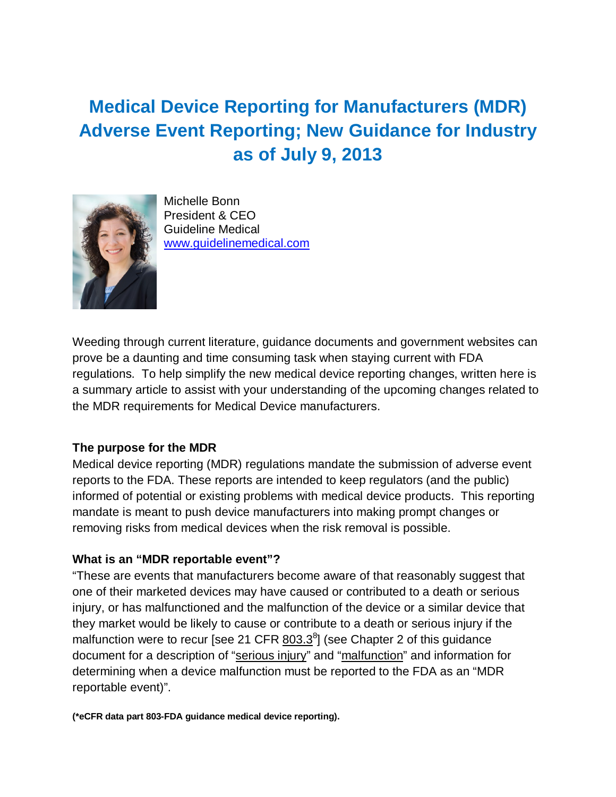# **Medical Device Reporting for Manufacturers (MDR) Adverse Event Reporting; New Guidance for Industry as of July 9, 2013**



Michelle Bonn President & CEO Guideline Medical [www.guidelinemedical.com](http://www.guidelinemedical.com/)

Weeding through current literature, guidance documents and government websites can prove be a daunting and time consuming task when staying current with FDA regulations. To help simplify the new medical device reporting changes, written here is a summary article to assist with your understanding of the upcoming changes related to the MDR requirements for Medical Device manufacturers.

### **The purpose for the MDR**

Medical device reporting (MDR) regulations mandate the submission of adverse event reports to the FDA. These reports are intended to keep regulators (and the public) informed of potential or existing problems with medical device products. This reporting mandate is meant to push device manufacturers into making prompt changes or removing risks from medical devices when the risk removal is possible.

## **What is an "MDR reportable event"?**

"These are events that manufacturers become aware of that reasonably suggest that one of their marketed devices may have caused or contributed to a death or serious injury, or has malfunctioned and the malfunction of the device or a similar device that they market would be likely to cause or contribute to a death or serious injury if the malfunction were to recur [see 21 CFR  $\underline{803.3}^8$ ] (see Chapter 2 of this guidance document for a description of ["serious injury"](http://www.fda.gov/MedicalDevices/DeviceRegulationandGuidance/GuidanceDocuments/ucm359130.htm%23s2-13) and ["malfunction"](http://www.fda.gov/MedicalDevices/DeviceRegulationandGuidance/GuidanceDocuments/ucm359130.htm%23s2-14) and information for determining when a device malfunction must be reported to the FDA as an "MDR reportable event)".

**(\*eCFR data part 803-FDA guidance medical device reporting).**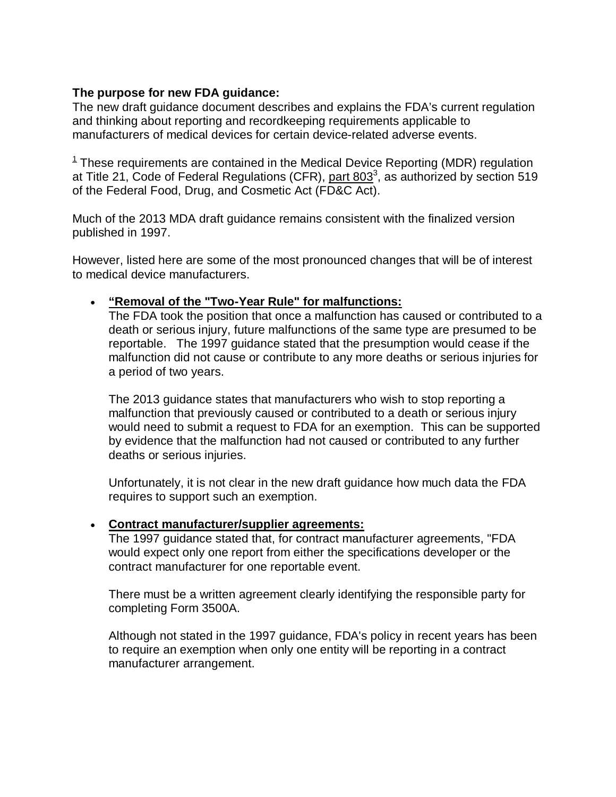## **The purpose for new FDA guidance:**

The new draft guidance document describes and explains the FDA's current regulation and thinking about reporting and recordkeeping requirements applicable to manufacturers of medical devices for certain device-related adverse events.

 $1$  These requirements are contained in the Medical Device Reporting (MDR) regulation at Title 21, Code of Federal Regulations (CFR), [part 803](http://ecfr.gpoaccess.gov/cgi/t/text/text-idx?c=ecfr&sid=20300bf7673514cf49d530123bc9d8e9&rgn=div5&view=text&node=21:8.0.1.1.3&idno=21)<sup>3</sup>, as authorized by section 519 of the Federal Food, Drug, and Cosmetic Act (FD&C Act).

Much of the 2013 MDA draft guidance remains consistent with the finalized version published in 1997.

However, listed here are some of the most pronounced changes that will be of interest to medical device manufacturers.

## • **"Removal of the "Two-Year Rule" for malfunctions:**

The FDA took the position that once a malfunction has caused or contributed to a death or serious injury, future malfunctions of the same type are presumed to be reportable. The 1997 guidance stated that the presumption would cease if the malfunction did not cause or contribute to any more deaths or serious injuries for a period of two years.

The 2013 guidance states that manufacturers who wish to stop reporting a malfunction that previously caused or contributed to a death or serious injury would need to submit a request to FDA for an exemption. This can be supported by evidence that the malfunction had not caused or contributed to any further deaths or serious injuries.

Unfortunately, it is not clear in the new draft guidance how much data the FDA requires to support such an exemption.

### • **Contract manufacturer/supplier agreements:**

The 1997 guidance stated that, for contract manufacturer agreements, "FDA would expect only one report from either the specifications developer or the contract manufacturer for one reportable event.

There must be a written agreement clearly identifying the responsible party for completing Form 3500A.

Although not stated in the 1997 guidance, FDA's policy in recent years has been to require an exemption when only one entity will be reporting in a contract manufacturer arrangement.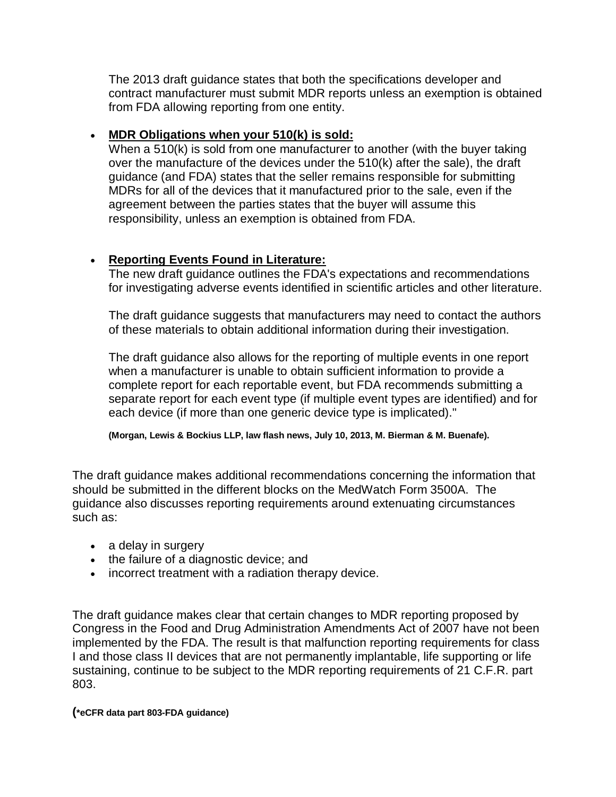The 2013 draft guidance states that both the specifications developer and contract manufacturer must submit MDR reports unless an exemption is obtained from FDA allowing reporting from one entity.

## • **MDR Obligations when your 510(k) is sold:**

When a 510(k) is sold from one manufacturer to another (with the buyer taking over the manufacture of the devices under the 510(k) after the sale), the draft guidance (and FDA) states that the seller remains responsible for submitting MDRs for all of the devices that it manufactured prior to the sale, even if the agreement between the parties states that the buyer will assume this responsibility, unless an exemption is obtained from FDA.

## • **Reporting Events Found in Literature:**

The new draft guidance outlines the FDA's expectations and recommendations for investigating adverse events identified in scientific articles and other literature.

The draft guidance suggests that manufacturers may need to contact the authors of these materials to obtain additional information during their investigation.

The draft guidance also allows for the reporting of multiple events in one report when a manufacturer is unable to obtain sufficient information to provide a complete report for each reportable event, but FDA recommends submitting a separate report for each event type (if multiple event types are identified) and for each device (if more than one generic device type is implicated)."

**(Morgan, Lewis & Bockius LLP, law flash news, July 10, 2013, M. Bierman & M. Buenafe).**

The draft guidance makes additional recommendations concerning the information that should be submitted in the different blocks on the MedWatch Form 3500A. The guidance also discusses reporting requirements around extenuating circumstances such as:

- a delay in surgery
- the failure of a diagnostic device; and
- incorrect treatment with a radiation therapy device.

The draft guidance makes clear that certain changes to MDR reporting proposed by Congress in the Food and Drug Administration Amendments Act of 2007 have not been implemented by the FDA. The result is that malfunction reporting requirements for class I and those class II devices that are not permanently implantable, life supporting or life sustaining, continue to be subject to the MDR reporting requirements of 21 C.F.R. part 803.

#### **(\*eCFR data part 803-FDA guidance)**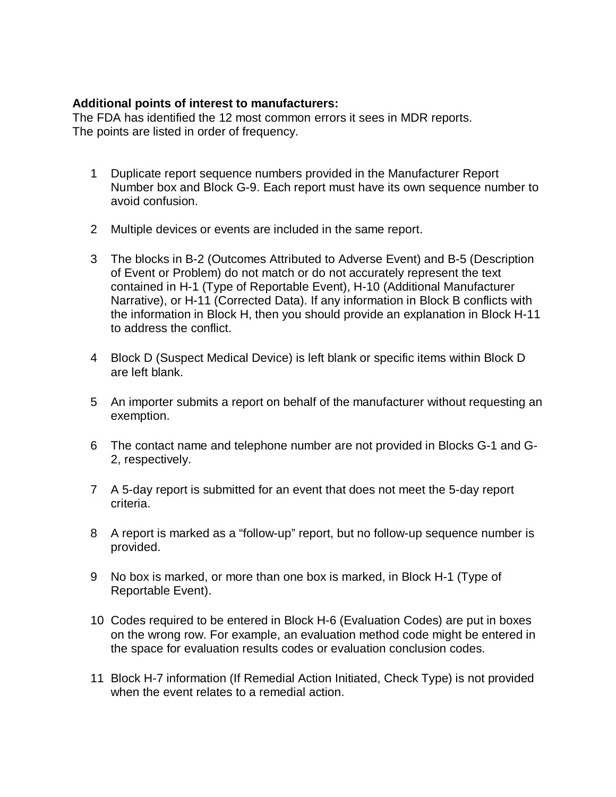#### **Additional points of interest to manufacturers:**

The FDA has identified the 12 most common errors it sees in MDR reports. The points are listed in order of frequency.

- 1 Duplicate report sequence numbers provided in the Manufacturer Report Number box and Block G-9. Each report must have its own sequence number to avoid confusion.
- 2 Multiple devices or events are included in the same report.
- 3 The blocks in B-2 (Outcomes Attributed to Adverse Event) and B-5 (Description of Event or Problem) do not match or do not accurately represent the text contained in H-1 (Type of Reportable Event), H-10 (Additional Manufacturer Narrative), or H-11 (Corrected Data). If any information in Block B conflicts with the information in Block H, then you should provide an explanation in Block H-11 to address the conflict.
- 4 Block D (Suspect Medical Device) is left blank or specific items within Block D are left blank.
- 5 An importer submits a report on behalf of the manufacturer without requesting an exemption.
- 6 The contact name and telephone number are not provided in Blocks G-1 and G-2, respectively.
- 7 A 5-day report is submitted for an event that does not meet the 5-day report criteria.
- 8 A report is marked as a "follow-up" report, but no follow-up sequence number is provided.
- 9 No box is marked, or more than one box is marked, in Block H-1 (Type of Reportable Event).
- 10 Codes required to be entered in Block H-6 (Evaluation Codes) are put in boxes on the wrong row. For example, an evaluation method code might be entered in the space for evaluation results codes or evaluation conclusion codes.
- 11 Block H-7 information (If Remedial Action Initiated, Check Type) is not provided when the event relates to a remedial action.